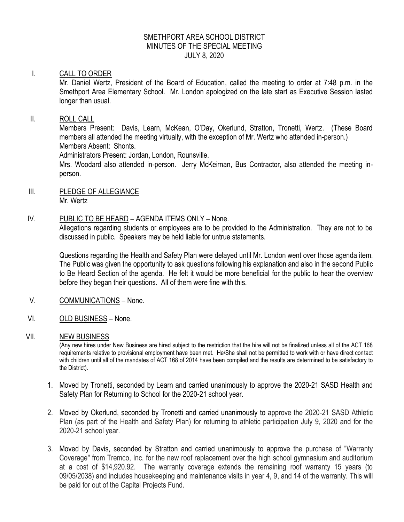### SMETHPORT AREA SCHOOL DISTRICT MINUTES OF THE SPECIAL MEETING JULY 8, 2020

### I. CALL TO ORDER

Mr. Daniel Wertz, President of the Board of Education, called the meeting to order at 7:48 p.m. in the Smethport Area Elementary School. Mr. London apologized on the late start as Executive Session lasted longer than usual.

## II. ROLL CALL

Members Present: Davis, Learn, McKean, O'Day, Okerlund, Stratton, Tronetti, Wertz. (These Board members all attended the meeting virtually, with the exception of Mr. Wertz who attended in-person.) Members Absent: Shonts.

Administrators Present: Jordan, London, Rounsville.

Mrs. Woodard also attended in-person. Jerry McKeirnan, Bus Contractor, also attended the meeting inperson.

### III. PLEDGE OF ALLEGIANCE Mr. Wertz

## IV. PUBLIC TO BE HEARD – AGENDA ITEMS ONLY – None.

Allegations regarding students or employees are to be provided to the Administration. They are not to be discussed in public. Speakers may be held liable for untrue statements.

Questions regarding the Health and Safety Plan were delayed until Mr. London went over those agenda item. The Public was given the opportunity to ask questions following his explanation and also in the second Public to Be Heard Section of the agenda. He felt it would be more beneficial for the public to hear the overview before they began their questions. All of them were fine with this.

- V. COMMUNICATIONS None.
- VI. OLD BUSINESS None.

### VII. NEW BUSINESS

(Any new hires under New Business are hired subject to the restriction that the hire will not be finalized unless all of the ACT 168 requirements relative to provisional employment have been met. He/She shall not be permitted to work with or have direct contact with children until all of the mandates of ACT 168 of 2014 have been compiled and the results are determined to be satisfactory to the District).

- 1. Moved by Tronetti, seconded by Learn and carried unanimously to approve the 2020-21 SASD Health and Safety Plan for Returning to School for the 2020-21 school year.
- 2. Moved by Okerlund, seconded by Tronetti and carried unanimously to approve the 2020-21 SASD Athletic Plan (as part of the Health and Safety Plan) for returning to athletic participation July 9, 2020 and for the 2020-21 school year.
- 3. Moved by Davis, seconded by Stratton and carried unanimously to approve the purchase of "Warranty Coverage" from Tremco, Inc. for the new roof replacement over the high school gymnasium and auditorium at a cost of \$14,920.92. The warranty coverage extends the remaining roof warranty 15 years (to 09/05/2038) and includes housekeeping and maintenance visits in year 4, 9, and 14 of the warranty. This will be paid for out of the Capital Projects Fund.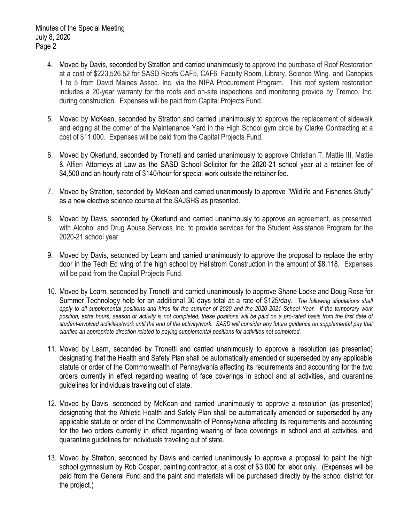- 4. Moved by Davis, seconded by Stratton and carried unanimously to approve the purchase of Roof Restoration at a cost of \$223,526.52 for SASD Roofs CAF5, CAF6, Faculty Room, Library, Science Wing, and Canopies 1 to 5 from David Maines Assoc. Inc. via the NIPA Procurement Program. This roof system restoration includes a 20-year warranty for the roofs and on-site inspections and monitoring provide by Tremco, Inc. during construction. Expenses will be paid from Capital Projects Fund.
- 5. Moved by McKean, seconded by Stratton and carried unanimously to approve the replacement of sidewalk and edging at the corner of the Maintenance Yard in the High School gym circle by Clarke Contracting at a cost of \$11,000. Expenses will be paid from the Capital Projects Fund.
- 6. Moved by Okerlund, seconded by Tronetti and carried unanimously to approve Christian T. Mattie III, Mattie & Alfieri Attorneys at Law as the SASD School Solicitor for the 2020-21 school year at a retainer fee of \$4,500 and an hourly rate of \$140/hour for special work outside the retainer fee.
- 7. Moved by Stratton, seconded by McKean and carried unanimously to approve "Wildlife and Fisheries Study" as a new elective science course at the SAJSHS as presented.
- 8. Moved by Davis, seconded by Okerlund and carried unanimously to approve an agreement, as presented, with Alcohol and Drug Abuse Services Inc. to provide services for the Student Assistance Program for the 2020-21 school year.
- 9. Moved by Davis, seconded by Learn and carried unanimously to approve the proposal to replace the entry door in the Tech Ed wing of the high school by Hallstrom Construction in the amount of \$8,118. Expenses will be paid from the Capital Projects Fund.
- 10. Moved by Learn, seconded by Tronetti and carried unanimously to approve Shane Locke and Doug Rose for Summer Technology help for an additional 30 days total at a rate of \$125/day. *The following stipulations shall apply to all supplemental positions and hires for the summer of 2020 and the 2020-2021 School Year. If the temporary work position, extra hours, season or activity is not completed, these positions will be paid on a pro-rated basis from the first date of student-involved activities/work until the end of the activity/work. SASD will consider any future guidance on supplemental pay that clarifies an appropriate direction related to paying supplemental positions for activities not completed.*
- 11. Moved by Learn, seconded by Tronetti and carried unanimously to approve a resolution (as presented) designating that the Health and Safety Plan shall be automatically amended or superseded by any applicable statute or order of the Commonwealth of Pennsylvania affecting its requirements and accounting for the two orders currently in effect regarding wearing of face coverings in school and at activities, and quarantine guidelines for individuals traveling out of state.
- 12. Moved by Davis, seconded by McKean and carried unanimously to approve a resolution (as presented) designating that the Athletic Health and Safety Plan shall be automatically amended or superseded by any applicable statute or order of the Commonwealth of Pennsylvania affecting its requirements and accounting for the two orders currently in effect regarding wearing of face coverings in school and at activities, and quarantine guidelines for individuals traveling out of state.
- 13. Moved by Stratton, seconded by Davis and carried unanimously to approve a proposal to paint the high school gymnasium by Rob Cosper, painting contractor, at a cost of \$3,000 for labor only. (Expenses will be paid from the General Fund and the paint and materials will be purchased directly by the school district for the project.)